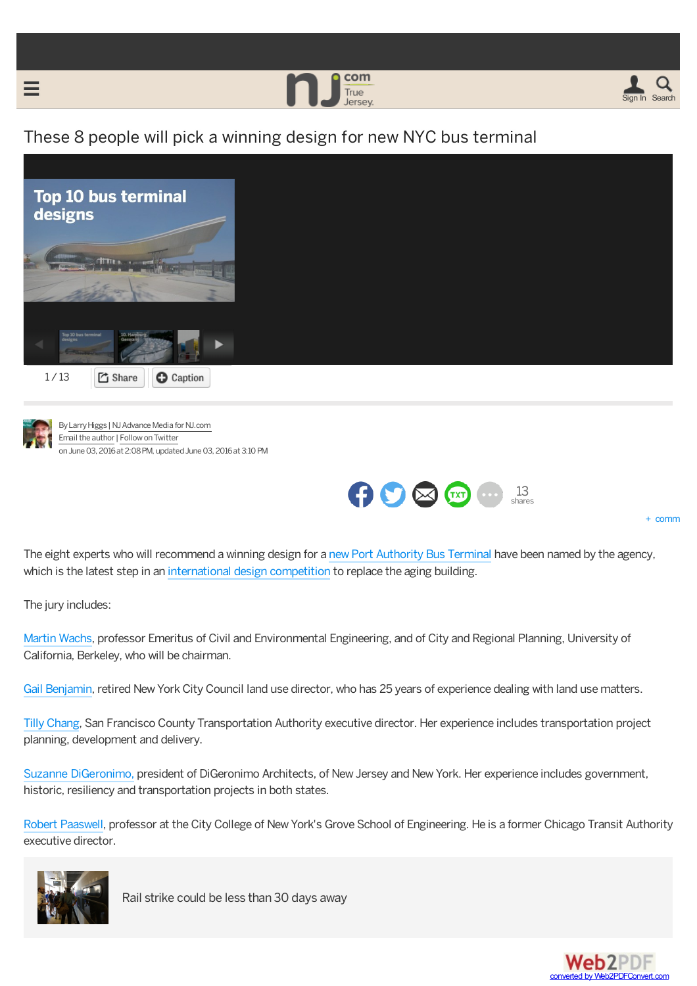



## These 8 people will pick a winning design for new NYC bus terminal





<span id="page-0-0"></span>⋿

By Larry Higgs | NJ Advance Media for NJ.com Email the author | Follow on Twitter on June 03, 2016 at 2:08 PM, updated June 03, 2016 at 3:10 PM



+ comm

The eight experts who will recommend a winning design for a new Port [Authority](http://www.nj.com/traffic/index.ssf/2016/03/port_authority_makes_decision_on_potential_nj_bus_terminal.html) Bus Terminal have been named by the agency, which is the latest step in an [international](http://www.nj.com/news/index.ssf/2015/10/port_authority_votes_to_replace_nyc_bus_terminal_will_hold_design_competition.html) design competition to replace the aging building.

The jury includes:

[Martin](http://luskin.ucla.edu/person/martin-wachs/) Wachs, professor Emeritus of Civil and Environmental Engineering, and of City and Regional Planning, University of California, Berkeley, who will be chairman.

Gail [Benjamin](http://therealdeal.com/2014/05/08/city-councils-land-use-director-to-depart/), retired NewYork City Council land use director, who has 25 years of experience dealing with land use matters.

Tilly [Chang](https://www.linkedin.com/in/tilly-chang-9b66472), San Francisco County Transportation Authority executive director. Her experience includes transportation project planning, development and delivery.

Suzanne [DiGeronimo,](http://digeronimo-pc.com/staff/suzanne-digeronimo/) president of DiGeronimo Architects, of New Jersey and New York. Her experience includes government, historic, resiliency and transportation projects in both states.

Robert [Paaswell](http://www-ce.ccny.cuny.edu/People/Paaswell-Bio.htm), professor at the City College of NewYork's Grove School of Engineering. He is a former Chicago Transit Authority executive director.



Rail [strike](http://www.nj.com/traffic/index.ssf/2016/06/nj_transit_strike_deadline_only_a_month_away_for_dissenting_unions.html) could be less than 30 days away